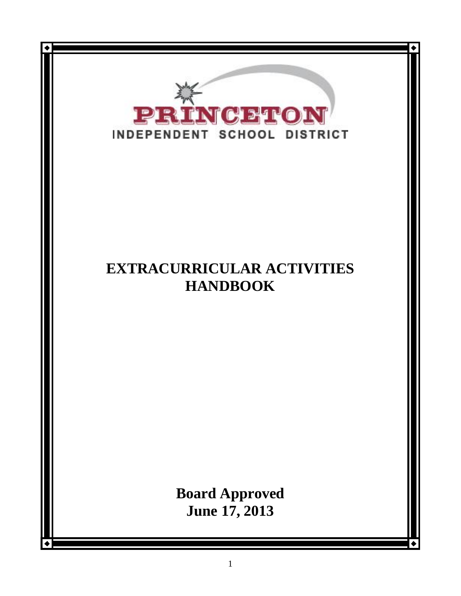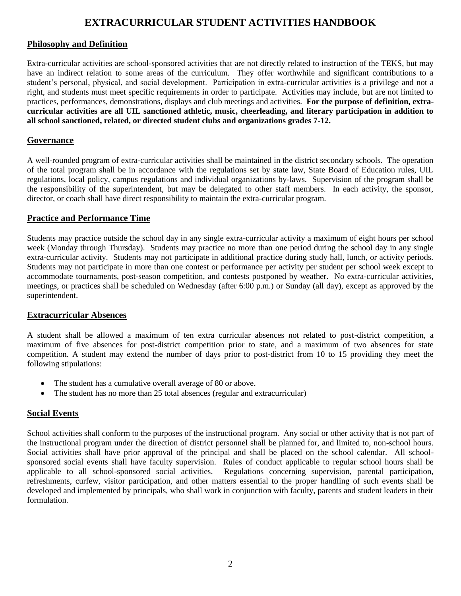# **EXTRACURRICULAR STUDENT ACTIVITIES HANDBOOK**

# **Philosophy and Definition**

Extra-curricular activities are school-sponsored activities that are not directly related to instruction of the TEKS, but may have an indirect relation to some areas of the curriculum. They offer worthwhile and significant contributions to a student's personal, physical, and social development. Participation in extra-curricular activities is a privilege and not a right, and students must meet specific requirements in order to participate. Activities may include, but are not limited to practices, performances, demonstrations, displays and club meetings and activities. **For the purpose of definition, extracurricular activities are all UIL sanctioned athletic, music, cheerleading, and literary participation in addition to all school sanctioned, related, or directed student clubs and organizations grades 7-12.**

# **Governance**

A well-rounded program of extra-curricular activities shall be maintained in the district secondary schools. The operation of the total program shall be in accordance with the regulations set by state law, State Board of Education rules, UIL regulations, local policy, campus regulations and individual organizations by-laws. Supervision of the program shall be the responsibility of the superintendent, but may be delegated to other staff members. In each activity, the sponsor, director, or coach shall have direct responsibility to maintain the extra-curricular program.

#### **Practice and Performance Time**

Students may practice outside the school day in any single extra-curricular activity a maximum of eight hours per school week (Monday through Thursday). Students may practice no more than one period during the school day in any single extra-curricular activity. Students may not participate in additional practice during study hall, lunch, or activity periods. Students may not participate in more than one contest or performance per activity per student per school week except to accommodate tournaments, post-season competition, and contests postponed by weather. No extra-curricular activities, meetings, or practices shall be scheduled on Wednesday (after 6:00 p.m.) or Sunday (all day), except as approved by the superintendent.

#### **Extracurricular Absences**

A student shall be allowed a maximum of ten extra curricular absences not related to post-district competition, a maximum of five absences for post-district competition prior to state, and a maximum of two absences for state competition. A student may extend the number of days prior to post-district from 10 to 15 providing they meet the following stipulations:

- The student has a cumulative overall average of 80 or above.
- The student has no more than 25 total absences (regular and extracurricular)

# **Social Events**

School activities shall conform to the purposes of the instructional program. Any social or other activity that is not part of the instructional program under the direction of district personnel shall be planned for, and limited to, non-school hours. Social activities shall have prior approval of the principal and shall be placed on the school calendar. All schoolsponsored social events shall have faculty supervision. Rules of conduct applicable to regular school hours shall be applicable to all school-sponsored social activities. Regulations concerning supervision, parental participation, refreshments, curfew, visitor participation, and other matters essential to the proper handling of such events shall be developed and implemented by principals, who shall work in conjunction with faculty, parents and student leaders in their formulation.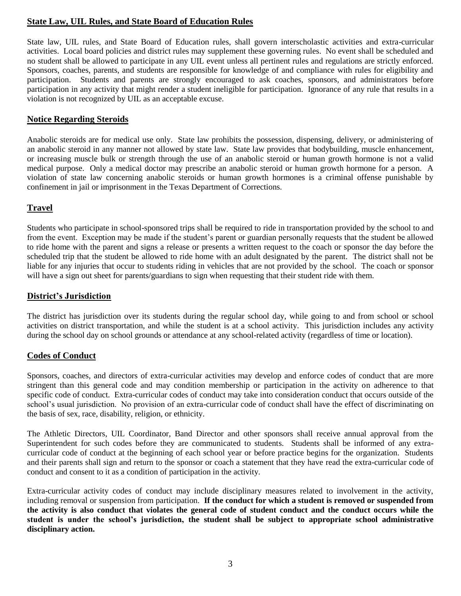# **State Law, UIL Rules, and State Board of Education Rules**

State law, UIL rules, and State Board of Education rules, shall govern interscholastic activities and extra-curricular activities. Local board policies and district rules may supplement these governing rules. No event shall be scheduled and no student shall be allowed to participate in any UIL event unless all pertinent rules and regulations are strictly enforced. Sponsors, coaches, parents, and students are responsible for knowledge of and compliance with rules for eligibility and participation. Students and parents are strongly encouraged to ask coaches, sponsors, and administrators before participation in any activity that might render a student ineligible for participation. Ignorance of any rule that results in a violation is not recognized by UIL as an acceptable excuse.

#### **Notice Regarding Steroids**

Anabolic steroids are for medical use only. State law prohibits the possession, dispensing, delivery, or administering of an anabolic steroid in any manner not allowed by state law. State law provides that bodybuilding, muscle enhancement, or increasing muscle bulk or strength through the use of an anabolic steroid or human growth hormone is not a valid medical purpose. Only a medical doctor may prescribe an anabolic steroid or human growth hormone for a person. A violation of state law concerning anabolic steroids or human growth hormones is a criminal offense punishable by confinement in jail or imprisonment in the Texas Department of Corrections.

#### **Travel**

Students who participate in school-sponsored trips shall be required to ride in transportation provided by the school to and from the event. Exception may be made if the student's parent or guardian personally requests that the student be allowed to ride home with the parent and signs a release or presents a written request to the coach or sponsor the day before the scheduled trip that the student be allowed to ride home with an adult designated by the parent. The district shall not be liable for any injuries that occur to students riding in vehicles that are not provided by the school. The coach or sponsor will have a sign out sheet for parents/guardians to sign when requesting that their student ride with them.

#### **District's Jurisdiction**

The district has jurisdiction over its students during the regular school day, while going to and from school or school activities on district transportation, and while the student is at a school activity. This jurisdiction includes any activity during the school day on school grounds or attendance at any school-related activity (regardless of time or location).

#### **Codes of Conduct**

Sponsors, coaches, and directors of extra-curricular activities may develop and enforce codes of conduct that are more stringent than this general code and may condition membership or participation in the activity on adherence to that specific code of conduct. Extra-curricular codes of conduct may take into consideration conduct that occurs outside of the school's usual jurisdiction. No provision of an extra-curricular code of conduct shall have the effect of discriminating on the basis of sex, race, disability, religion, or ethnicity.

The Athletic Directors, UIL Coordinator, Band Director and other sponsors shall receive annual approval from the Superintendent for such codes before they are communicated to students. Students shall be informed of any extracurricular code of conduct at the beginning of each school year or before practice begins for the organization. Students and their parents shall sign and return to the sponsor or coach a statement that they have read the extra-curricular code of conduct and consent to it as a condition of participation in the activity.

Extra-curricular activity codes of conduct may include disciplinary measures related to involvement in the activity, including removal or suspension from participation. **If the conduct for which a student is removed or suspended from the activity is also conduct that violates the general code of student conduct and the conduct occurs while the student is under the school's jurisdiction, the student shall be subject to appropriate school administrative disciplinary action.**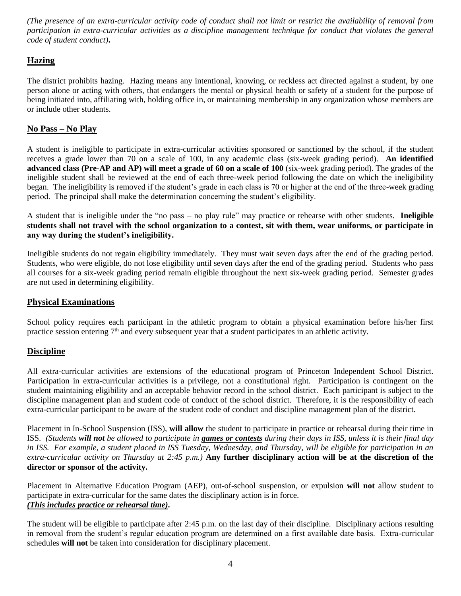*(The presence of an extra-curricular activity code of conduct shall not limit or restrict the availability of removal from participation in extra-curricular activities as a discipline management technique for conduct that violates the general code of student conduct)***.**

# **Hazing**

The district prohibits hazing. Hazing means any intentional, knowing, or reckless act directed against a student, by one person alone or acting with others, that endangers the mental or physical health or safety of a student for the purpose of being initiated into, affiliating with, holding office in, or maintaining membership in any organization whose members are or include other students.

# **No Pass – No Play**

A student is ineligible to participate in extra-curricular activities sponsored or sanctioned by the school, if the student receives a grade lower than 70 on a scale of 100, in any academic class (six-week grading period). **An identified advanced class (Pre-AP and AP) will meet a grade of 60 on a scale of 100** (six-week grading period). The grades of the ineligible student shall be reviewed at the end of each three-week period following the date on which the ineligibility began. The ineligibility is removed if the student's grade in each class is 70 or higher at the end of the three-week grading period. The principal shall make the determination concerning the student's eligibility.

A student that is ineligible under the "no pass – no play rule" may practice or rehearse with other students. **Ineligible students shall not travel with the school organization to a contest, sit with them, wear uniforms, or participate in any way during the student's ineligibility.**

Ineligible students do not regain eligibility immediately. They must wait seven days after the end of the grading period. Students, who were eligible, do not lose eligibility until seven days after the end of the grading period. Students who pass all courses for a six-week grading period remain eligible throughout the next six-week grading period. Semester grades are not used in determining eligibility.

# **Physical Examinations**

School policy requires each participant in the athletic program to obtain a physical examination before his/her first practice session entering  $7<sup>th</sup>$  and every subsequent year that a student participates in an athletic activity.

# **Discipline**

All extra-curricular activities are extensions of the educational program of Princeton Independent School District. Participation in extra-curricular activities is a privilege, not a constitutional right. Participation is contingent on the student maintaining eligibility and an acceptable behavior record in the school district. Each participant is subject to the discipline management plan and student code of conduct of the school district. Therefore, it is the responsibility of each extra-curricular participant to be aware of the student code of conduct and discipline management plan of the district.

Placement in In-School Suspension (ISS), **will allow** the student to participate in practice or rehearsal during their time in ISS. *(Students will not be allowed to participate in games or contests during their days in ISS, unless it is their final day in ISS. For example, a student placed in ISS Tuesday, Wednesday, and Thursday, will be eligible for participation in an extra-curricular activity on Thursday at 2:45 p.m.)* **Any further disciplinary action will be at the discretion of the director or sponsor of the activity.**

Placement in Alternative Education Program (AEP), out-of-school suspension, or expulsion **will not** allow student to participate in extra-curricular for the same dates the disciplinary action is in force. *(This includes practice or rehearsal time).*

The student will be eligible to participate after 2:45 p.m. on the last day of their discipline. Disciplinary actions resulting in removal from the student's regular education program are determined on a first available date basis. Extra-curricular schedules **will not** be taken into consideration for disciplinary placement.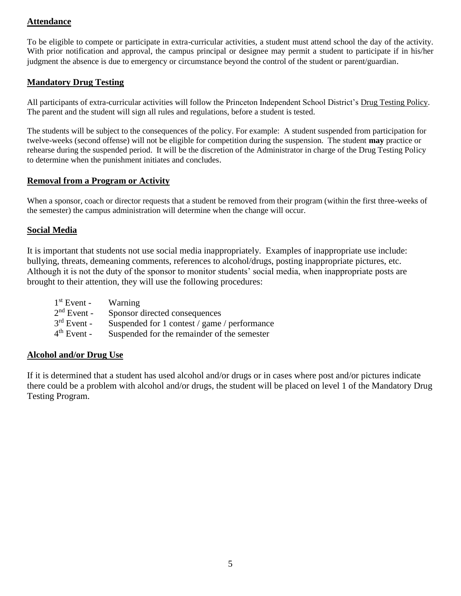# **Attendance**

To be eligible to compete or participate in extra-curricular activities, a student must attend school the day of the activity. With prior notification and approval, the campus principal or designee may permit a student to participate if in his/her judgment the absence is due to emergency or circumstance beyond the control of the student or parent/guardian.

#### **Mandatory Drug Testing**

All participants of extra-curricular activities will follow the Princeton Independent School District's Drug Testing Policy. The parent and the student will sign all rules and regulations, before a student is tested.

The students will be subject to the consequences of the policy. For example: A student suspended from participation for twelve-weeks (second offense) will not be eligible for competition during the suspension. The student **may** practice or rehearse during the suspended period. It will be the discretion of the Administrator in charge of the Drug Testing Policy to determine when the punishment initiates and concludes.

#### **Removal from a Program or Activity**

When a sponsor, coach or director requests that a student be removed from their program (within the first three-weeks of the semester) the campus administration will determine when the change will occur.

#### **Social Media**

It is important that students not use social media inappropriately. Examples of inappropriate use include: bullying, threats, demeaning comments, references to alcohol/drugs, posting inappropriate pictures, etc. Although it is not the duty of the sponsor to monitor students' social media, when inappropriate posts are brought to their attention, they will use the following procedures:

| $1st$ Event -           | Warning                                      |
|-------------------------|----------------------------------------------|
| $2nd$ Event -           | Sponsor directed consequences                |
| $3^{rd}$ Event -        | Suspended for 1 contest / game / performance |
| 4 <sup>th</sup> Event - | Suspended for the remainder of the semester  |

#### **Alcohol and/or Drug Use**

If it is determined that a student has used alcohol and/or drugs or in cases where post and/or pictures indicate there could be a problem with alcohol and/or drugs, the student will be placed on level 1 of the Mandatory Drug Testing Program.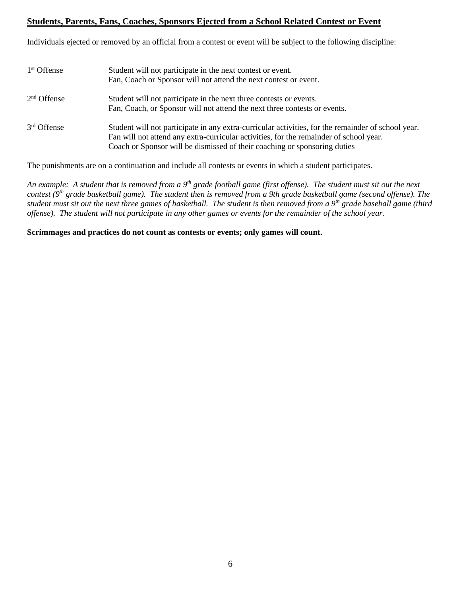# **Students, Parents, Fans, Coaches, Sponsors Ejected from a School Related Contest or Event**

Individuals ejected or removed by an official from a contest or event will be subject to the following discipline:

| $1st$ Offense | Student will not participate in the next contest or event.<br>Fan, Coach or Sponsor will not attend the next contest or event.                                                                                                                                            |
|---------------|---------------------------------------------------------------------------------------------------------------------------------------------------------------------------------------------------------------------------------------------------------------------------|
| $2nd$ Offense | Student will not participate in the next three contests or events.<br>Fan, Coach, or Sponsor will not attend the next three contests or events.                                                                                                                           |
| 3rd Offense   | Student will not participate in any extra-curricular activities, for the remainder of school year.<br>Fan will not attend any extra-curricular activities, for the remainder of school year.<br>Coach or Sponsor will be dismissed of their coaching or sponsoring duties |

The punishments are on a continuation and include all contests or events in which a student participates.

*An example: A student that is removed from a 9th grade football game (first offense). The student must sit out the next contest (9th grade basketball game). The student then is removed from a 9th grade basketball game (second offense). The student must sit out the next three games of basketball. The student is then removed from a 9th grade baseball game (third offense). The student will not participate in any other games or events for the remainder of the school year.* 

**Scrimmages and practices do not count as contests or events; only games will count.**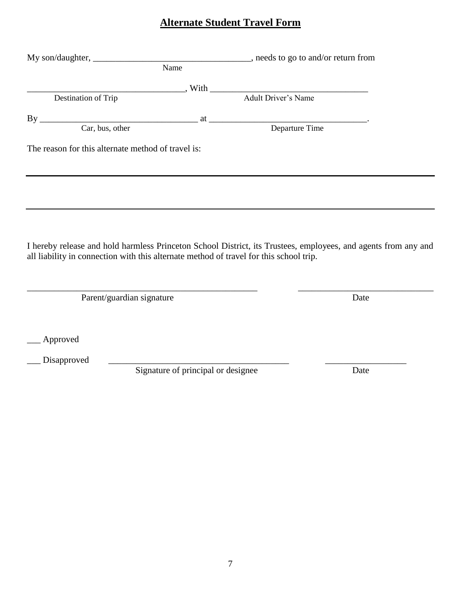# **Alternate Student Travel Form**

|                                                                                        | Name                               |                                                                                                                |
|----------------------------------------------------------------------------------------|------------------------------------|----------------------------------------------------------------------------------------------------------------|
|                                                                                        |                                    |                                                                                                                |
| Destination of Trip                                                                    |                                    | Mith Manuel Adult Driver's Name                                                                                |
|                                                                                        |                                    |                                                                                                                |
| By Car, bus, other at Departure Time                                                   |                                    |                                                                                                                |
| The reason for this alternate method of travel is:                                     |                                    |                                                                                                                |
|                                                                                        |                                    |                                                                                                                |
|                                                                                        |                                    |                                                                                                                |
|                                                                                        |                                    |                                                                                                                |
|                                                                                        |                                    |                                                                                                                |
| all liability in connection with this alternate method of travel for this school trip. |                                    | I hereby release and hold harmless Princeton School District, its Trustees, employees, and agents from any and |
|                                                                                        |                                    |                                                                                                                |
| Parent/guardian signature                                                              |                                    | Date                                                                                                           |
|                                                                                        |                                    |                                                                                                                |
| Approved                                                                               |                                    |                                                                                                                |
| Disapproved                                                                            |                                    |                                                                                                                |
|                                                                                        | Signature of principal or designee | Date                                                                                                           |
|                                                                                        |                                    |                                                                                                                |